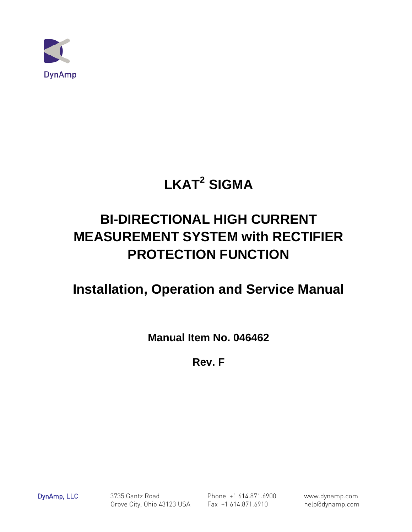

# **LKAT2 SIGMA**

# **BI-DIRECTIONAL HIGH CURRENT MEASUREMENT SYSTEM with RECTIFIER PROTECTION FUNCTION**

# **Installation, Operation and Service Manual**

**Manual Item No. 046462**

**Rev. F**

DynAmp, LLC 3735 Gantz Road Phone +1 614.871.6900 www.dynamp.com Grove City, Ohio 43123 USA Fax +1 614.871.6910 help@dynamp.com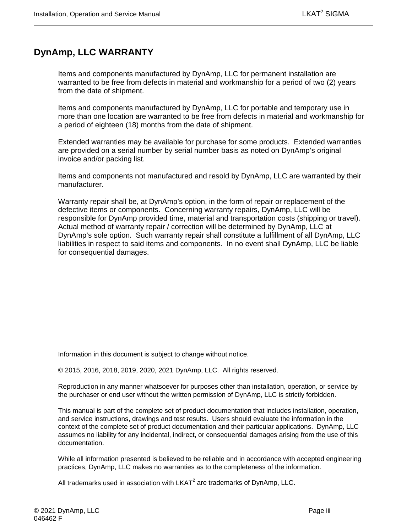## <span id="page-2-0"></span>**DynAmp, LLC WARRANTY**

Items and components manufactured by DynAmp, LLC for permanent installation are warranted to be free from defects in material and workmanship for a period of two (2) years from the date of shipment.

Items and components manufactured by DynAmp, LLC for portable and temporary use in more than one location are warranted to be free from defects in material and workmanship for a period of eighteen (18) months from the date of shipment.

Extended warranties may be available for purchase for some products. Extended warranties are provided on a serial number by serial number basis as noted on DynAmp's original invoice and/or packing list.

Items and components not manufactured and resold by DynAmp, LLC are warranted by their manufacturer.

Warranty repair shall be, at DynAmp's option, in the form of repair or replacement of the defective items or components. Concerning warranty repairs, DynAmp, LLC will be responsible for DynAmp provided time, material and transportation costs (shipping or travel). Actual method of warranty repair / correction will be determined by DynAmp, LLC at DynAmp's sole option. Such warranty repair shall constitute a fulfillment of all DynAmp, LLC liabilities in respect to said items and components. In no event shall DynAmp, LLC be liable for consequential damages.

Information in this document is subject to change without notice.

© 2015, 2016, 2018, 2019, 2020, 2021 DynAmp, LLC. All rights reserved.

Reproduction in any manner whatsoever for purposes other than installation, operation, or service by the purchaser or end user without the written permission of DynAmp, LLC is strictly forbidden.

This manual is part of the complete set of product documentation that includes installation, operation, and service instructions, drawings and test results. Users should evaluate the information in the context of the complete set of product documentation and their particular applications. DynAmp, LLC assumes no liability for any incidental, indirect, or consequential damages arising from the use of this documentation.

While all information presented is believed to be reliable and in accordance with accepted engineering practices, DynAmp, LLC makes no warranties as to the completeness of the information.

All trademarks used in association with  $LKAT<sup>2</sup>$  are trademarks of DynAmp, LLC.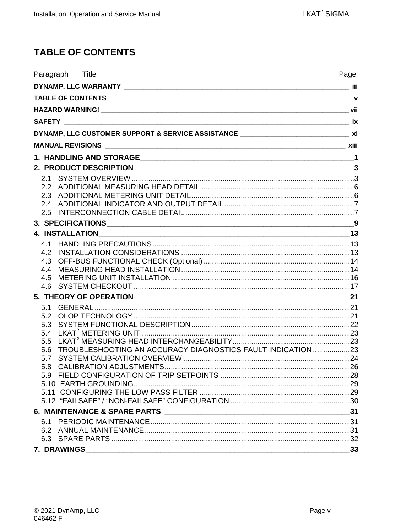## <span id="page-4-0"></span>**TABLE OF CONTENTS**

| Paragraph Title                                                                      | Page |
|--------------------------------------------------------------------------------------|------|
|                                                                                      |      |
|                                                                                      |      |
|                                                                                      |      |
|                                                                                      |      |
| DYNAMP, LLC CUSTOMER SUPPORT & SERVICE ASSISTANCE _______________________________ xi |      |
|                                                                                      |      |
|                                                                                      |      |
|                                                                                      |      |
|                                                                                      |      |
|                                                                                      |      |
|                                                                                      |      |
|                                                                                      |      |
|                                                                                      |      |
|                                                                                      |      |
|                                                                                      |      |
| 4.2                                                                                  |      |
| 4.3                                                                                  |      |
| 4.4                                                                                  |      |
| 4.5                                                                                  |      |
|                                                                                      |      |
|                                                                                      |      |
| 5.2                                                                                  |      |
| 5.3                                                                                  |      |
| 5.4                                                                                  |      |
| 5.5                                                                                  |      |
| TROUBLESHOOTING AN ACCURACY DIAGNOSTICS FAULT INDICATION 23<br>5.6                   |      |
| 5.7<br>5.8                                                                           |      |
|                                                                                      |      |
|                                                                                      |      |
|                                                                                      |      |
|                                                                                      |      |
|                                                                                      |      |
|                                                                                      |      |
|                                                                                      |      |
| 7. DRAWINGS                                                                          | 33   |
|                                                                                      |      |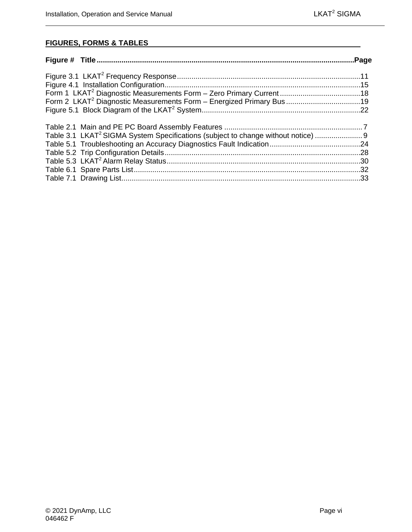### **FIGURES, FORMS & TABLES**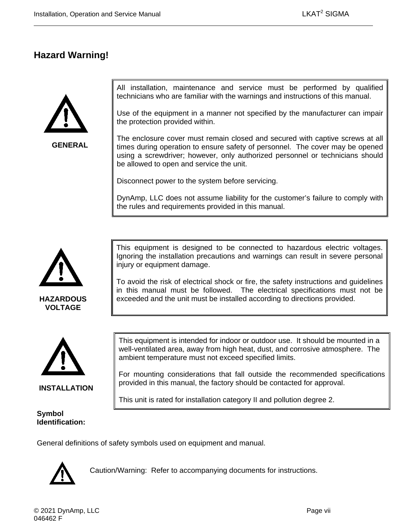## <span id="page-6-0"></span>**Hazard Warning!**



**GENERAL**

All installation, maintenance and service must be performed by qualified technicians who are familiar with the warnings and instructions of this manual.

Use of the equipment in a manner not specified by the manufacturer can impair the protection provided within.

The enclosure cover must remain closed and secured with captive screws at all times during operation to ensure safety of personnel. The cover may be opened using a screwdriver; however, only authorized personnel or technicians should be allowed to open and service the unit.

Disconnect power to the system before servicing.

DynAmp, LLC does not assume liability for the customer's failure to comply with the rules and requirements provided in this manual.



**HAZARDOUS VOLTAGE**

This equipment is designed to be connected to hazardous electric voltages. Ignoring the installation precautions and warnings can result in severe personal injury or equipment damage.

To avoid the risk of electrical shock or fire, the safety instructions and guidelines in this manual must be followed. The electrical specifications must not be exceeded and the unit must be installed according to directions provided.



**INSTALLATION**

#### **Symbol Identification:**

This equipment is intended for indoor or outdoor use. It should be mounted in a well-ventilated area, away from high heat, dust, and corrosive atmosphere. The ambient temperature must not exceed specified limits.

For mounting considerations that fall outside the recommended specifications provided in this manual, the factory should be contacted for approval.

This unit is rated for installation category II and pollution degree 2.

General definitions of safety symbols used on equipment and manual.



Caution/Warning: Refer to accompanying documents for instructions.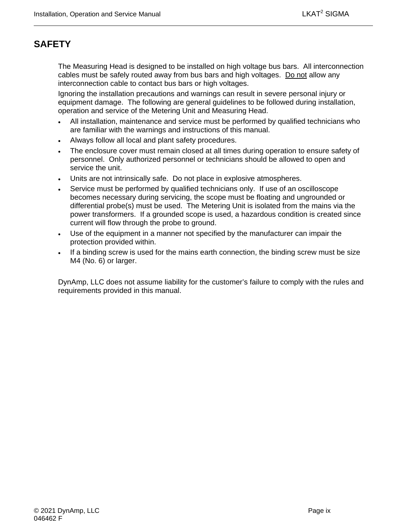# <span id="page-8-0"></span>**SAFETY**

The Measuring Head is designed to be installed on high voltage bus bars. All interconnection cables must be safely routed away from bus bars and high voltages. Do not allow any interconnection cable to contact bus bars or high voltages.

Ignoring the installation precautions and warnings can result in severe personal injury or equipment damage. The following are general guidelines to be followed during installation, operation and service of the Metering Unit and Measuring Head.

- All installation, maintenance and service must be performed by qualified technicians who are familiar with the warnings and instructions of this manual.
- Always follow all local and plant safety procedures.
- The enclosure cover must remain closed at all times during operation to ensure safety of personnel. Only authorized personnel or technicians should be allowed to open and service the unit.
- Units are not intrinsically safe. Do not place in explosive atmospheres.
- Service must be performed by qualified technicians only. If use of an oscilloscope becomes necessary during servicing, the scope must be floating and ungrounded or differential probe(s) must be used. The Metering Unit is isolated from the mains via the power transformers. If a grounded scope is used, a hazardous condition is created since current will flow through the probe to ground.
- Use of the equipment in a manner not specified by the manufacturer can impair the protection provided within.
- If a binding screw is used for the mains earth connection, the binding screw must be size M4 (No. 6) or larger.

DynAmp, LLC does not assume liability for the customer's failure to comply with the rules and requirements provided in this manual.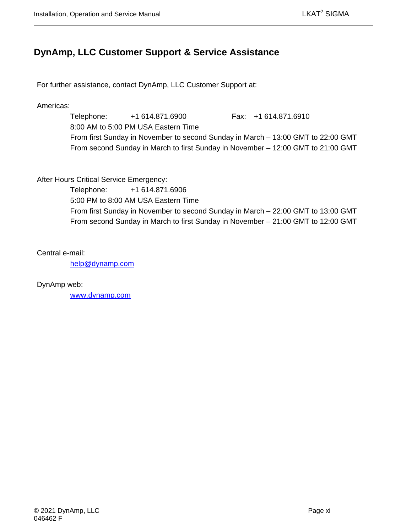## <span id="page-10-0"></span>**DynAmp, LLC Customer Support & Service Assistance**

For further assistance, contact DynAmp, LLC Customer Support at:

Americas:

Telephone: +1 614.871.6900 Fax: +1 614.871.6910 8:00 AM to 5:00 PM USA Eastern Time From first Sunday in November to second Sunday in March – 13:00 GMT to 22:00 GMT From second Sunday in March to first Sunday in November – 12:00 GMT to 21:00 GMT

After Hours Critical Service Emergency:

Telephone: +1 614.871.6906 5:00 PM to 8:00 AM USA Eastern Time From first Sunday in November to second Sunday in March – 22:00 GMT to 13:00 GMT From second Sunday in March to first Sunday in November – 21:00 GMT to 12:00 GMT

Central e-mail:

[help@dynamp.com](mailto:help@dynamp.com)

DynAmp web:

[www.dynamp.com](http://www.dynamp.com/)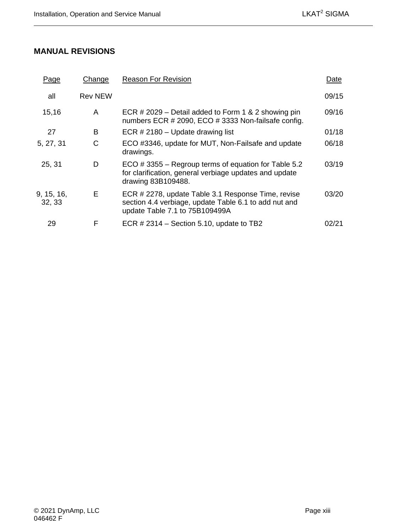## <span id="page-12-0"></span>**MANUAL REVISIONS**

| Page                 | Change         | <b>Reason For Revision</b>                                                                                                                    | Date  |
|----------------------|----------------|-----------------------------------------------------------------------------------------------------------------------------------------------|-------|
| all                  | <b>Rev NEW</b> |                                                                                                                                               | 09/15 |
| 15,16                | A              | ECR # 2029 – Detail added to Form 1 & 2 showing pin<br>numbers ECR # 2090, ECO # 3333 Non-failsafe config.                                    | 09/16 |
| 27                   | в              | ECR # 2180 - Update drawing list                                                                                                              | 01/18 |
| 5, 27, 31            | C              | ECO #3346, update for MUT, Non-Failsafe and update<br>drawings.                                                                               | 06/18 |
| 25, 31               | D              | ECO #3355 – Regroup terms of equation for Table 5.2<br>for clarification, general verbiage updates and update<br>drawing 83B109488.           | 03/19 |
| 9, 15, 16,<br>32, 33 | Е              | ECR # 2278, update Table 3.1 Response Time, revise<br>section 4.4 verbiage, update Table 6.1 to add nut and<br>update Table 7.1 to 75B109499A | 03/20 |
| 29                   | F              | ECR $\#$ 2314 – Section 5.10, update to TB2                                                                                                   | 02/21 |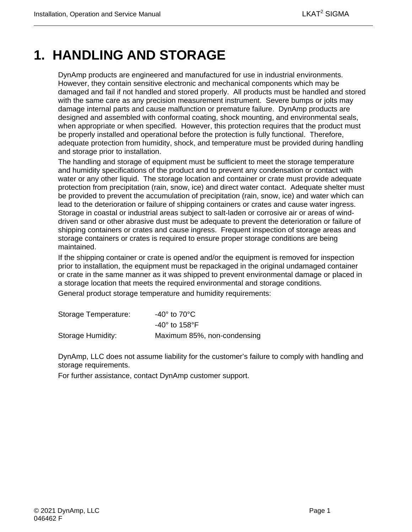# <span id="page-14-0"></span>**1. HANDLING AND STORAGE**

DynAmp products are engineered and manufactured for use in industrial environments. However, they contain sensitive electronic and mechanical components which may be damaged and fail if not handled and stored properly. All products must be handled and stored with the same care as any precision measurement instrument. Severe bumps or jolts may damage internal parts and cause malfunction or premature failure. DynAmp products are designed and assembled with conformal coating, shock mounting, and environmental seals, when appropriate or when specified. However, this protection requires that the product must be properly installed and operational before the protection is fully functional. Therefore, adequate protection from humidity, shock, and temperature must be provided during handling and storage prior to installation.

The handling and storage of equipment must be sufficient to meet the storage temperature and humidity specifications of the product and to prevent any condensation or contact with water or any other liquid. The storage location and container or crate must provide adequate protection from precipitation (rain, snow, ice) and direct water contact. Adequate shelter must be provided to prevent the accumulation of precipitation (rain, snow, ice) and water which can lead to the deterioration or failure of shipping containers or crates and cause water ingress. Storage in coastal or industrial areas subject to salt-laden or corrosive air or areas of winddriven sand or other abrasive dust must be adequate to prevent the deterioration or failure of shipping containers or crates and cause ingress. Frequent inspection of storage areas and storage containers or crates is required to ensure proper storage conditions are being maintained.

If the shipping container or crate is opened and/or the equipment is removed for inspection prior to installation, the equipment must be repackaged in the original undamaged container or crate in the same manner as it was shipped to prevent environmental damage or placed in a storage location that meets the required environmental and storage conditions.

General product storage temperature and humidity requirements:

| Storage Temperature: | -40 $^{\circ}$ to 70 $^{\circ}$ C $^{\circ}$ |
|----------------------|----------------------------------------------|
|                      | -40 $^{\circ}$ to 158 $^{\circ}$ F           |
| Storage Humidity:    | Maximum 85%, non-condensing                  |

DynAmp, LLC does not assume liability for the customer's failure to comply with handling and storage requirements.

For further assistance, contact DynAmp customer support.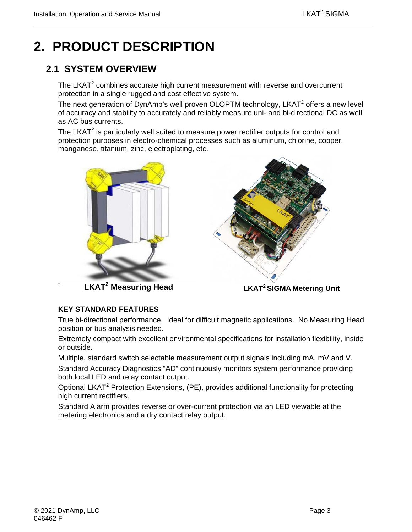# <span id="page-16-0"></span>**2. PRODUCT DESCRIPTION**

## <span id="page-16-1"></span>**2.1 SYSTEM OVERVIEW**

The LKAT<sup>2</sup> combines accurate high current measurement with reverse and overcurrent protection in a single rugged and cost effective system.

The next generation of DynAmp's well proven OLOPTM technology, LKAT<sup>2</sup> offers a new level of accuracy and stability to accurately and reliably measure uni- and bi-directional DC as well as AC bus currents.

The LKAT $2$  is particularly well suited to measure power rectifier outputs for control and protection purposes in electro-chemical processes such as aluminum, chlorine, copper, manganese, titanium, zinc, electroplating, etc.



**LKAT2 Measuring Head**



 **LKAT2 SIGMA Metering Unit**

### **KEY STANDARD FEATURES**

True bi-directional performance. Ideal for difficult magnetic applications. No Measuring Head position or bus analysis needed.

Extremely compact with excellent environmental specifications for installation flexibility, inside or outside.

Multiple, standard switch selectable measurement output signals including mA, mV and V. Standard Accuracy Diagnostics "AD" continuously monitors system performance providing both local LED and relay contact output.

Optional LKAT2 Protection Extensions, (PE), provides additional functionality for protecting high current rectifiers.

Standard Alarm provides reverse or over-current protection via an LED viewable at the metering electronics and a dry contact relay output.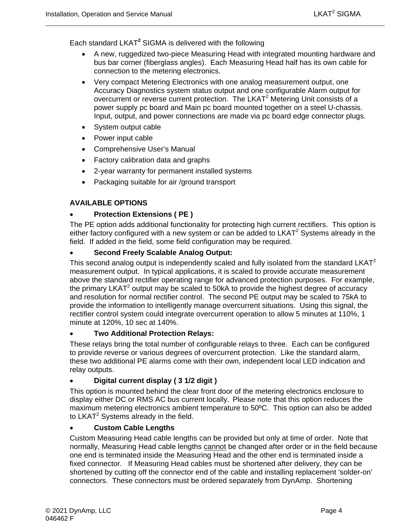Each standard LKAT**<sup>2</sup>** SIGMA is delivered with the following

- A new, ruggedized two-piece Measuring Head with integrated mounting hardware and bus bar corner (fiberglass angles). Each Measuring Head half has its own cable for connection to the metering electronics.
- Very compact Metering Electronics with one analog measurement output, one Accuracy Diagnostics system status output and one configurable Alarm output for overcurrent or reverse current protection. The LKAT<sup>2</sup> Metering Unit consists of a power supply pc board and Main pc board mounted together on a steel U-chassis. Input, output, and power connections are made via pc board edge connector plugs.
- System output cable
- Power input cable
- Comprehensive User's Manual
- Factory calibration data and graphs
- 2-year warranty for permanent installed systems
- Packaging suitable for air /ground transport

#### **AVAILABLE OPTIONS**

#### • **Protection Extensions ( PE )**

The PE option adds additional functionality for protecting high current rectifiers. This option is either factory configured with a new system or can be added to  $LKAT<sup>2</sup>$  Systems already in the field. If added in the field, some field configuration may be required.

#### • **Second Freely Scalable Analog Output:**

This second analog output is independently scaled and fully isolated from the standard LKAT<sup>2</sup> measurement output. In typical applications, it is scaled to provide accurate measurement above the standard rectifier operating range for advanced protection purposes. For example, the primary  $LKAT^2$  output may be scaled to 50kA to provide the highest degree of accuracy and resolution for normal rectifier control. The second PE output may be scaled to 75kA to provide the information to intelligently manage overcurrent situations. Using this signal, the rectifier control system could integrate overcurrent operation to allow 5 minutes at 110%, 1 minute at 120%, 10 sec at 140%.

#### • **Two Additional Protection Relays:**

These relays bring the total number of configurable relays to three. Each can be configured to provide reverse or various degrees of overcurrent protection. Like the standard alarm, these two additional PE alarms come with their own, independent local LED indication and relay outputs.

#### • **Digital current display ( 3 1/2 digit )**

This option is mounted behind the clear front door of the metering electronics enclosure to display either DC or RMS AC bus current locally. Please note that this option reduces the maximum metering electronics ambient temperature to 50ºC. This option can also be added to  $LKAT^2$  Systems already in the field.

#### • **Custom Cable Lengths**

Custom Measuring Head cable lengths can be provided but only at time of order. Note that normally, Measuring Head cable lengths cannot be changed after order or in the field because one end is terminated inside the Measuring Head and the other end is terminated inside a fixed connector. If Measuring Head cables must be shortened after delivery, they can be shortened by cutting off the connector end of the cable and installing replacement 'solder-on' connectors. These connectors must be ordered separately from DynAmp. Shortening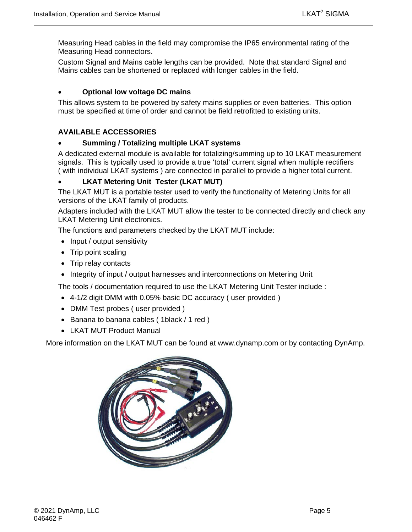Measuring Head cables in the field may compromise the IP65 environmental rating of the Measuring Head connectors.

Custom Signal and Mains cable lengths can be provided. Note that standard Signal and Mains cables can be shortened or replaced with longer cables in the field.

### • **Optional low voltage DC mains**

This allows system to be powered by safety mains supplies or even batteries. This option must be specified at time of order and cannot be field retrofitted to existing units.

#### **AVAILABLE ACCESSORIES**

#### • **Summing / Totalizing multiple LKAT systems**

A dedicated external module is available for totalizing/summing up to 10 LKAT measurement signals. This is typically used to provide a true 'total' current signal when multiple rectifiers ( with individual LKAT systems ) are connected in parallel to provide a higher total current.

### • **LKAT Metering Unit Tester (LKAT MUT)**

The LKAT MUT is a portable tester used to verify the functionality of Metering Units for all versions of the LKAT family of products.

Adapters included with the LKAT MUT allow the tester to be connected directly and check any LKAT Metering Unit electronics.

The functions and parameters checked by the LKAT MUT include:

- Input / output sensitivity
- Trip point scaling
- Trip relay contacts
- Integrity of input / output harnesses and interconnections on Metering Unit

The tools / documentation required to use the LKAT Metering Unit Tester include :

- 4-1/2 digit DMM with 0.05% basic DC accuracy ( user provided )
- DMM Test probes (user provided)
- Banana to banana cables ( 1black / 1 red )
- LKAT MUT Product Manual

More information on the LKAT MUT can be found at www.dynamp.com or by contacting DynAmp.

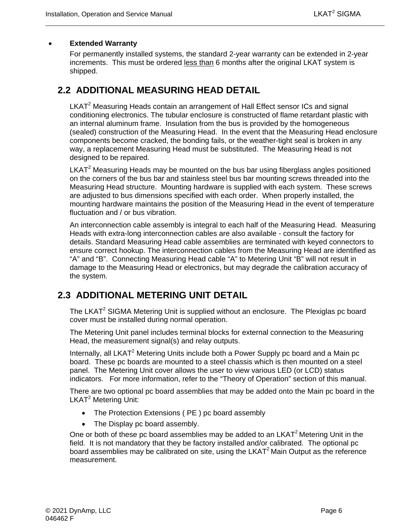#### • **Extended Warranty**

For permanently installed systems, the standard 2-year warranty can be extended in 2-year increments. This must be ordered less than 6 months after the original LKAT system is shipped.

## <span id="page-19-0"></span>**2.2 ADDITIONAL MEASURING HEAD DETAIL**

LKAT<sup>2</sup> Measuring Heads contain an arrangement of Hall Effect sensor ICs and signal conditioning electronics. The tubular enclosure is constructed of flame retardant plastic with an internal aluminum frame. Insulation from the bus is provided by the homogeneous (sealed) construction of the Measuring Head. In the event that the Measuring Head enclosure components become cracked, the bonding fails, or the weather-tight seal is broken in any way, a replacement Measuring Head must be substituted. The Measuring Head is not designed to be repaired.

 $LKAT<sup>2</sup>$  Measuring Heads may be mounted on the bus bar using fiberglass angles positioned on the corners of the bus bar and stainless steel bus bar mounting screws threaded into the Measuring Head structure. Mounting hardware is supplied with each system. These screws are adjusted to bus dimensions specified with each order. When properly installed, the mounting hardware maintains the position of the Measuring Head in the event of temperature fluctuation and / or bus vibration.

An interconnection cable assembly is integral to each half of the Measuring Head. Measuring Heads with extra-long interconnection cables are also available - consult the factory for details. Standard Measuring Head cable assemblies are terminated with keyed connectors to ensure correct hookup. The interconnection cables from the Measuring Head are identified as "A" and "B". Connecting Measuring Head cable "A" to Metering Unit "B" will not result in damage to the Measuring Head or electronics, but may degrade the calibration accuracy of the system.

## <span id="page-19-1"></span>**2.3 ADDITIONAL METERING UNIT DETAIL**

The LKAT<sup>2</sup> SIGMA Metering Unit is supplied without an enclosure. The Plexiglas pc board cover must be installed during normal operation.

The Metering Unit panel includes terminal blocks for external connection to the Measuring Head, the measurement signal(s) and relay outputs.

Internally, all LKAT<sup>2</sup> Metering Units include both a Power Supply pc board and a Main pc board. These pc boards are mounted to a steel chassis which is then mounted on a steel panel. The Metering Unit cover allows the user to view various LED (or LCD) status indicators. For more information, refer to the "Theory of Operation" section of this manual.

There are two optional pc board assemblies that may be added onto the Main pc board in the LKAT<sup>2</sup> Metering Unit:

- The Protection Extensions ( PE ) pc board assembly
- The Display pc board assembly.

One or both of these pc board assemblies may be added to an  $LKAT<sup>2</sup>$  Metering Unit in the field. It is not mandatory that they be factory installed and/or calibrated. The optional pc board assemblies may be calibrated on site, using the LKAT<sup>2</sup> Main Output as the reference measurement.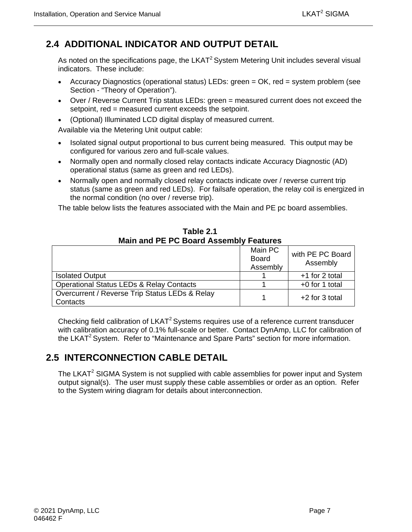## <span id="page-20-0"></span>**2.4 ADDITIONAL INDICATOR AND OUTPUT DETAIL**

As noted on the specifications page, the  $LKAT<sup>2</sup>$  System Metering Unit includes several visual indicators. These include:

- Accuracy Diagnostics (operational status) LEDs: green = OK, red = system problem (see Section - "Theory of Operation").
- Over / Reverse Current Trip status LEDs: green = measured current does not exceed the setpoint, red = measured current exceeds the setpoint.
- (Optional) Illuminated LCD digital display of measured current.

Available via the Metering Unit output cable:

- Isolated signal output proportional to bus current being measured. This output may be configured for various zero and full-scale values.
- Normally open and normally closed relay contacts indicate Accuracy Diagnostic (AD) operational status (same as green and red LEDs).
- Normally open and normally closed relay contacts indicate over / reverse current trip status (same as green and red LEDs). For failsafe operation, the relay coil is energized in the normal condition (no over / reverse trip).

The table below lists the features associated with the Main and PE pc board assemblies.

<span id="page-20-2"></span>

|                                                            | Main PC<br><b>Board</b><br>Assembly | with PE PC Board<br>Assembly |
|------------------------------------------------------------|-------------------------------------|------------------------------|
| <b>Isolated Output</b>                                     |                                     | +1 for 2 total               |
| <b>Operational Status LEDs &amp; Relay Contacts</b>        |                                     | +0 for 1 total               |
| Overcurrent / Reverse Trip Status LEDs & Relay<br>Contacts |                                     | $+2$ for 3 total             |

**Table 2.1 Main and PE PC Board Assembly Features**

Checking field calibration of LKAT<sup>2</sup> Systems requires use of a reference current transducer with calibration accuracy of 0.1% full-scale or better. Contact DynAmp, LLC for calibration of the LKAT<sup>2</sup> System. Refer to "Maintenance and Spare Parts" section for more information.

# <span id="page-20-1"></span>**2.5 INTERCONNECTION CABLE DETAIL**

The LKAT $2$  SIGMA System is not supplied with cable assemblies for power input and System output signal(s). The user must supply these cable assemblies or order as an option. Refer to the System wiring diagram for details about interconnection.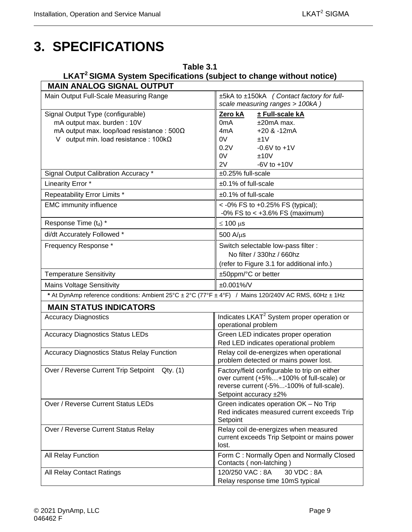# <span id="page-22-0"></span>**3. SPECIFICATIONS**

# <span id="page-22-1"></span>**Table 3.1 LKAT2 SIGMA System Specifications (subject to change without notice)**

| <b>MAIN ANALOG SIGNAL OUTPUT</b><br>Main Output Full-Scale Measuring Range                            | ±5kA to ±150kA (Contact factory for full-                                                                                                                      |  |  |  |
|-------------------------------------------------------------------------------------------------------|----------------------------------------------------------------------------------------------------------------------------------------------------------------|--|--|--|
|                                                                                                       | scale measuring ranges > 100kA)                                                                                                                                |  |  |  |
| Signal Output Type (configurable)                                                                     | Zero kA<br>± Full-scale kA                                                                                                                                     |  |  |  |
| mA output max. burden: 10V                                                                            | $±20mA$ max.<br>0 <sub>m</sub> A                                                                                                                               |  |  |  |
| mA output max. loop/load resistance: $500\Omega$                                                      | $+20$ & $-12mA$<br>4mA                                                                                                                                         |  |  |  |
| V output min. load resistance: $100k\Omega$                                                           | 0V<br>±1V                                                                                                                                                      |  |  |  |
|                                                                                                       | 0.2V<br>$-0.6V$ to $+1V$                                                                                                                                       |  |  |  |
|                                                                                                       | 0V<br>±10V                                                                                                                                                     |  |  |  |
|                                                                                                       | 2V<br>$-6V$ to $+10V$<br>±0.25% full-scale                                                                                                                     |  |  |  |
| Signal Output Calibration Accuracy *                                                                  |                                                                                                                                                                |  |  |  |
| Linearity Error *                                                                                     | $±0.1\%$ of full-scale                                                                                                                                         |  |  |  |
| Repeatability Error Limits *                                                                          | ±0.1% of full-scale                                                                                                                                            |  |  |  |
| <b>EMC immunity influence</b>                                                                         | <-0% FS to +0.25% FS (typical);<br>$-0\%$ FS to < $+3.6\%$ FS (maximum)                                                                                        |  |  |  |
| Response Time (t <sub>d</sub> ) *                                                                     | $\leq 100 \,\mu s$                                                                                                                                             |  |  |  |
| di/dt Accurately Followed *                                                                           | $500$ A/ $\mu$ s                                                                                                                                               |  |  |  |
| Frequency Response *                                                                                  | Switch selectable low-pass filter :                                                                                                                            |  |  |  |
|                                                                                                       | No filter / 330hz / 660hz                                                                                                                                      |  |  |  |
|                                                                                                       | (refer to Figure 3.1 for additional info.)                                                                                                                     |  |  |  |
| <b>Temperature Sensitivity</b>                                                                        | ±50ppm/°C or better                                                                                                                                            |  |  |  |
| <b>Mains Voltage Sensitivity</b>                                                                      | ±0.001%/V                                                                                                                                                      |  |  |  |
| * At DynAmp reference conditions: Ambient 25°C ± 2°C (77°F ± 4°F) / Mains 120/240V AC RMS, 60Hz ± 1Hz |                                                                                                                                                                |  |  |  |
| <b>MAIN STATUS INDICATORS</b>                                                                         |                                                                                                                                                                |  |  |  |
| <b>Accuracy Diagnostics</b>                                                                           | Indicates LKAT <sup>2</sup> System proper operation or<br>operational problem                                                                                  |  |  |  |
| <b>Accuracy Diagnostics Status LEDs</b>                                                               | Green LED indicates proper operation<br>Red LED indicates operational problem                                                                                  |  |  |  |
| <b>Accuracy Diagnostics Status Relay Function</b>                                                     | Relay coil de-energizes when operational<br>problem detected or mains power lost.                                                                              |  |  |  |
| Over / Reverse Current Trip Setpoint<br>Qty. (1)                                                      | Factory/field configurable to trip on either<br>over current (+5%+100% of full-scale) or<br>reverse current (-5%-100% of full-scale).<br>Setpoint accuracy ±2% |  |  |  |
| Over / Reverse Current Status LEDs                                                                    | Green indicates operation OK - No Trip<br>Red indicates measured current exceeds Trip<br>Setpoint                                                              |  |  |  |
| Over / Reverse Current Status Relay                                                                   | Relay coil de-energizes when measured<br>current exceeds Trip Setpoint or mains power<br>lost.                                                                 |  |  |  |
| All Relay Function                                                                                    | Form C: Normally Open and Normally Closed<br>Contacts (non-latching)                                                                                           |  |  |  |
| All Relay Contact Ratings                                                                             | 120/250 VAC: 8A<br>30 VDC: 8A<br>Relay response time 10mS typical                                                                                              |  |  |  |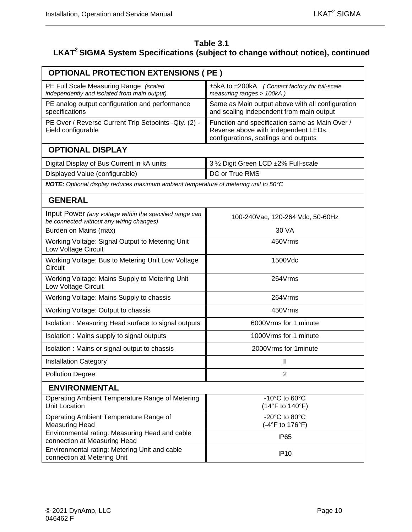#### **Table 3.1 LKAT2 SIGMA System Specifications (subject to change without notice), continued**

| <b>OPTIONAL PROTECTION EXTENSIONS ( PE )</b>                                                        |                                                                                                                                |  |  |  |  |  |
|-----------------------------------------------------------------------------------------------------|--------------------------------------------------------------------------------------------------------------------------------|--|--|--|--|--|
| PE Full Scale Measuring Range (scaled<br>independently and isolated from main output)               | ±5kA to ±200kA (Contact factory for full-scale<br>measuring ranges > 100kA)                                                    |  |  |  |  |  |
| PE analog output configuration and performance<br>specifications                                    | Same as Main output above with all configuration<br>and scaling independent from main output                                   |  |  |  |  |  |
| PE Over / Reverse Current Trip Setpoints - Qty. (2) -<br>Field configurable                         | Function and specification same as Main Over /<br>Reverse above with independent LEDs,<br>configurations, scalings and outputs |  |  |  |  |  |
| <b>OPTIONAL DISPLAY</b>                                                                             |                                                                                                                                |  |  |  |  |  |
| Digital Display of Bus Current in kA units                                                          | 3 1/2 Digit Green LCD ±2% Full-scale                                                                                           |  |  |  |  |  |
| Displayed Value (configurable)                                                                      | DC or True RMS                                                                                                                 |  |  |  |  |  |
| NOTE: Optional display reduces maximum ambient temperature of metering unit to 50°C                 |                                                                                                                                |  |  |  |  |  |
| <b>GENERAL</b>                                                                                      |                                                                                                                                |  |  |  |  |  |
| Input Power (any voltage within the specified range can<br>be connected without any wiring changes) | 100-240Vac, 120-264 Vdc, 50-60Hz                                                                                               |  |  |  |  |  |
| Burden on Mains (max)                                                                               | 30 VA                                                                                                                          |  |  |  |  |  |
| Working Voltage: Signal Output to Metering Unit<br>Low Voltage Circuit                              | 450Vrms                                                                                                                        |  |  |  |  |  |
| Working Voltage: Bus to Metering Unit Low Voltage<br>Circuit                                        | 1500Vdc                                                                                                                        |  |  |  |  |  |
| Working Voltage: Mains Supply to Metering Unit<br>Low Voltage Circuit                               | 264Vrms                                                                                                                        |  |  |  |  |  |
| Working Voltage: Mains Supply to chassis                                                            | 264Vrms                                                                                                                        |  |  |  |  |  |
| Working Voltage: Output to chassis                                                                  | 450Vrms                                                                                                                        |  |  |  |  |  |
| Isolation: Measuring Head surface to signal outputs                                                 | 6000 Vrms for 1 minute                                                                                                         |  |  |  |  |  |
| Isolation: Mains supply to signal outputs                                                           | 1000 Vrms for 1 minute                                                                                                         |  |  |  |  |  |
| Isolation: Mains or signal output to chassis                                                        | 2000 Vrms for 1 minute                                                                                                         |  |  |  |  |  |
| <b>Installation Category</b>                                                                        | Ш                                                                                                                              |  |  |  |  |  |
| <b>Pollution Degree</b>                                                                             | 2                                                                                                                              |  |  |  |  |  |
| <b>ENVIRONMENTAL</b>                                                                                |                                                                                                                                |  |  |  |  |  |
| Operating Ambient Temperature Range of Metering<br><b>Unit Location</b>                             | -10 $^{\circ}$ C to 60 $^{\circ}$ C<br>(14°F to 140°F)                                                                         |  |  |  |  |  |
| Operating Ambient Temperature Range of<br><b>Measuring Head</b>                                     | -20°C to 80°C<br>(-4°F to 176°F)                                                                                               |  |  |  |  |  |
| Environmental rating: Measuring Head and cable<br>connection at Measuring Head                      | IP <sub>65</sub>                                                                                                               |  |  |  |  |  |
| Environmental rating: Metering Unit and cable<br>connection at Metering Unit                        | <b>IP10</b>                                                                                                                    |  |  |  |  |  |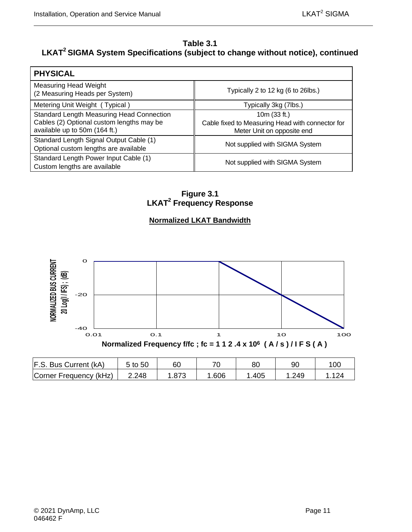### **Table 3.1 LKAT2 SIGMA System Specifications (subject to change without notice), continued**

| <b>PHYSICAL</b>                                                                                                                |                                                                                                |
|--------------------------------------------------------------------------------------------------------------------------------|------------------------------------------------------------------------------------------------|
| <b>Measuring Head Weight</b><br>(2 Measuring Heads per System)                                                                 | Typically 2 to 12 kg (6 to 26lbs.)                                                             |
| Metering Unit Weight (Typical)                                                                                                 | Typically 3kg (7lbs.)                                                                          |
| <b>Standard Length Measuring Head Connection</b><br>Cables (2) Optional custom lengths may be<br>available up to 50m (164 ft.) | 10m (33 ft.)<br>Cable fixed to Measuring Head with connector for<br>Meter Unit on opposite end |
| Standard Length Signal Output Cable (1)<br>Optional custom lengths are available                                               | Not supplied with SIGMA System                                                                 |
| Standard Length Power Input Cable (1)<br>Custom lengths are available                                                          | Not supplied with SIGMA System                                                                 |

**Figure 3.1 LKAT2 Frequency Response**

### **Normalized LKAT Bandwidth**

<span id="page-24-0"></span>

| F.S. Bus Current (kA)  | 5 to 50 | 60    | 71   | 80   | 90   | 10C |
|------------------------|---------|-------|------|------|------|-----|
| Corner Frequency (kHz) | 2.248   | 1.873 | .606 | .405 | .249 | 124 |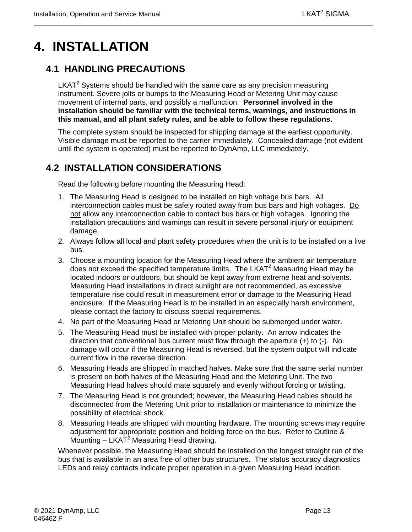# <span id="page-26-0"></span>**4. INSTALLATION**

## <span id="page-26-1"></span>**4.1 HANDLING PRECAUTIONS**

 $LKAT<sup>2</sup>$  Systems should be handled with the same care as any precision measuring instrument. Severe jolts or bumps to the Measuring Head or Metering Unit may cause movement of internal parts, and possibly a malfunction. **Personnel involved in the installation should be familiar with the technical terms, warnings, and instructions in this manual, and all plant safety rules, and be able to follow these regulations.**

The complete system should be inspected for shipping damage at the earliest opportunity. Visible damage must be reported to the carrier immediately. Concealed damage (not evident until the system is operated) must be reported to DynAmp, LLC immediately.

## <span id="page-26-2"></span>**4.2 INSTALLATION CONSIDERATIONS**

Read the following before mounting the Measuring Head:

- 1. The Measuring Head is designed to be installed on high voltage bus bars. All interconnection cables must be safely routed away from bus bars and high voltages. Do not allow any interconnection cable to contact bus bars or high voltages. Ignoring the installation precautions and warnings can result in severe personal injury or equipment damage.
- 2. Always follow all local and plant safety procedures when the unit is to be installed on a live bus.
- 3. Choose a mounting location for the Measuring Head where the ambient air temperature does not exceed the specified temperature limits. The LKAT<sup>2</sup> Measuring Head may be located indoors or outdoors, but should be kept away from extreme heat and solvents. Measuring Head installations in direct sunlight are not recommended, as excessive temperature rise could result in measurement error or damage to the Measuring Head enclosure. If the Measuring Head is to be installed in an especially harsh environment, please contact the factory to discuss special requirements.
- 4. No part of the Measuring Head or Metering Unit should be submerged under water.
- 5. The Measuring Head must be installed with proper polarity. An arrow indicates the direction that conventional bus current must flow through the aperture (+) to (-). No damage will occur if the Measuring Head is reversed, but the system output will indicate current flow in the reverse direction.
- 6. Measuring Heads are shipped in matched halves. Make sure that the same serial number is present on both halves of the Measuring Head and the Metering Unit. The two Measuring Head halves should mate squarely and evenly without forcing or twisting.
- 7. The Measuring Head is not grounded; however, the Measuring Head cables should be disconnected from the Metering Unit prior to installation or maintenance to minimize the possibility of electrical shock.
- 8. Measuring Heads are shipped with mounting hardware. The mounting screws may require adjustment for appropriate position and holding force on the bus. Refer to Outline & Mounting  $-$  LKAT<sup>2</sup> Measuring Head drawing.

Whenever possible, the Measuring Head should be installed on the longest straight run of the bus that is available in an area free of other bus structures. The status accuracy diagnostics LEDs and relay contacts indicate proper operation in a given Measuring Head location.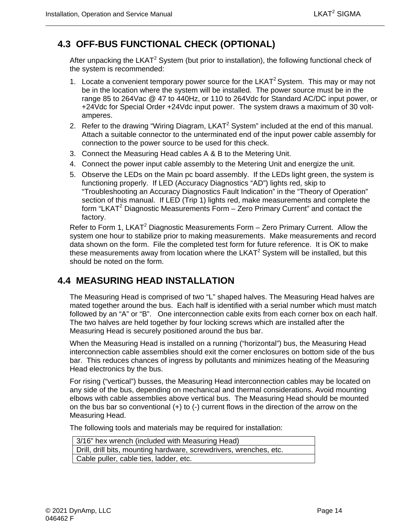## <span id="page-27-0"></span>**4.3 OFF-BUS FUNCTIONAL CHECK (OPTIONAL)**

After unpacking the LKAT<sup>2</sup> System (but prior to installation), the following functional check of the system is recommended:

- 1. Locate a convenient temporary power source for the LKAT<sup>2</sup> System. This may or may not be in the location where the system will be installed. The power source must be in the range 85 to 264Vac @ 47 to 440Hz, or 110 to 264Vdc for Standard AC/DC input power, or +24Vdc for Special Order +24Vdc input power. The system draws a maximum of 30 voltamperes.
- 2. Refer to the drawing "Wiring Diagram,  $LKAT^2$  System" included at the end of this manual. Attach a suitable connector to the unterminated end of the input power cable assembly for connection to the power source to be used for this check.
- 3. Connect the Measuring Head cables A & B to the Metering Unit.
- 4. Connect the power input cable assembly to the Metering Unit and energize the unit.
- 5. Observe the LEDs on the Main pc board assembly. If the LEDs light green, the system is functioning properly. If LED (Accuracy Diagnostics "AD") lights red, skip to "Troubleshooting an Accuracy Diagnostics Fault Indication" in the "Theory of Operation" section of this manual. If LED (Trip 1) lights red, make measurements and complete the form "LKAT<sup>2</sup> Diagnostic Measurements Form  $-$  Zero Primary Current" and contact the factory.

Refer to Form 1, LKAT<sup>2</sup> Diagnostic Measurements Form  $-$  Zero Primary Current. Allow the system one hour to stabilize prior to making measurements. Make measurements and record data shown on the form. File the completed test form for future reference. It is OK to make these measurements away from location where the LKAT<sup>2</sup> System will be installed, but this should be noted on the form.

## <span id="page-27-1"></span>**4.4 MEASURING HEAD INSTALLATION**

The Measuring Head is comprised of two "L" shaped halves. The Measuring Head halves are mated together around the bus. Each half is identified with a serial number which must match followed by an "A" or "B". One interconnection cable exits from each corner box on each half. The two halves are held together by four locking screws which are installed after the Measuring Head is securely positioned around the bus bar.

When the Measuring Head is installed on a running ("horizontal") bus, the Measuring Head interconnection cable assemblies should exit the corner enclosures on bottom side of the bus bar. This reduces chances of ingress by pollutants and minimizes heating of the Measuring Head electronics by the bus.

For rising ("vertical") busses, the Measuring Head interconnection cables may be located on any side of the bus, depending on mechanical and thermal considerations. Avoid mounting elbows with cable assemblies above vertical bus. The Measuring Head should be mounted on the bus bar so conventional  $(+)$  to  $(-)$  current flows in the direction of the arrow on the Measuring Head.

The following tools and materials may be required for installation:

| 3/16" hex wrench (included with Measuring Head)                    |
|--------------------------------------------------------------------|
| Drill, drill bits, mounting hardware, screwdrivers, wrenches, etc. |
| Cable puller, cable ties, ladder, etc.                             |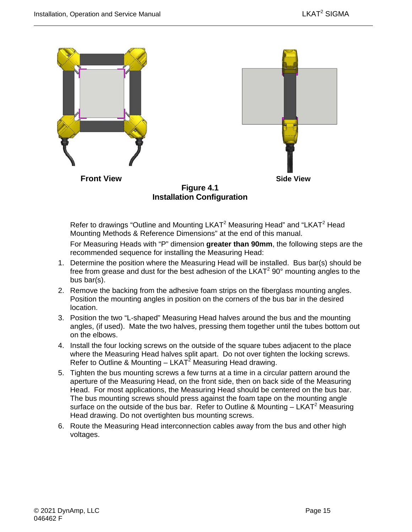

<span id="page-28-0"></span>Refer to drawings "Outline and Mounting LKAT $2$  Measuring Head" and "LKAT $2$  Head Mounting Methods & Reference Dimensions" at the end of this manual.

For Measuring Heads with "P" dimension **greater than 90mm**, the following steps are the recommended sequence for installing the Measuring Head:

- 1. Determine the position where the Measuring Head will be installed. Bus bar(s) should be free from grease and dust for the best adhesion of the LKAT $200^\circ$  mounting angles to the bus bar(s).
- 2. Remove the backing from the adhesive foam strips on the fiberglass mounting angles. Position the mounting angles in position on the corners of the bus bar in the desired location.
- 3. Position the two "L-shaped" Measuring Head halves around the bus and the mounting angles, (if used). Mate the two halves, pressing them together until the tubes bottom out on the elbows.
- 4. Install the four locking screws on the outside of the square tubes adjacent to the place where the Measuring Head halves split apart. Do not over tighten the locking screws. Refer to Outline & Mounting –  $LKAT^2$  Measuring Head drawing.
- 5. Tighten the bus mounting screws a few turns at a time in a circular pattern around the aperture of the Measuring Head, on the front side, then on back side of the Measuring Head. For most applications, the Measuring Head should be centered on the bus bar. The bus mounting screws should press against the foam tape on the mounting angle surface on the outside of the bus bar. Refer to Outline & Mounting  $- LKAT<sup>2</sup>$  Measuring Head drawing. Do not overtighten bus mounting screws.
- 6. Route the Measuring Head interconnection cables away from the bus and other high voltages.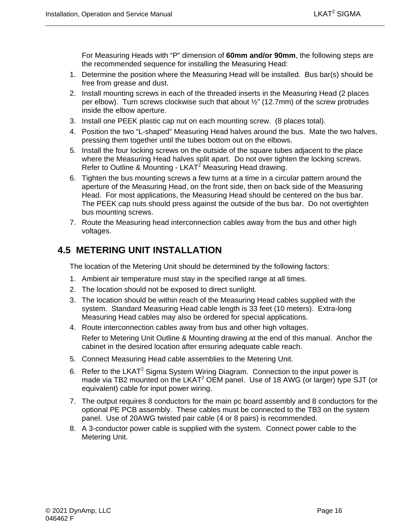For Measuring Heads with "P" dimension of **60mm and/or 90mm**, the following steps are the recommended sequence for installing the Measuring Head:

- 1. Determine the position where the Measuring Head will be installed. Bus bar(s) should be free from grease and dust.
- 2. Install mounting screws in each of the threaded inserts in the Measuring Head (2 places per elbow). Turn screws clockwise such that about ½" (12.7mm) of the screw protrudes inside the elbow aperture.
- 3. Install one PEEK plastic cap nut on each mounting screw. (8 places total).
- 4. Position the two "L-shaped" Measuring Head halves around the bus. Mate the two halves, pressing them together until the tubes bottom out on the elbows.
- 5. Install the four locking screws on the outside of the square tubes adjacent to the place where the Measuring Head halves split apart. Do not over tighten the locking screws. Refer to Outline & Mounting - LKAT<sup>2</sup> Measuring Head drawing.
- 6. Tighten the bus mounting screws a few turns at a time in a circular pattern around the aperture of the Measuring Head, on the front side, then on back side of the Measuring Head. For most applications, the Measuring Head should be centered on the bus bar. The PEEK cap nuts should press against the outside of the bus bar. Do not overtighten bus mounting screws.
- 7. Route the Measuring head interconnection cables away from the bus and other high voltages.

## <span id="page-29-0"></span>**4.5 METERING UNIT INSTALLATION**

The location of the Metering Unit should be determined by the following factors:

- 1. Ambient air temperature must stay in the specified range at all times.
- 2. The location should not be exposed to direct sunlight.
- 3. The location should be within reach of the Measuring Head cables supplied with the system. Standard Measuring Head cable length is 33 feet (10 meters). Extra-long Measuring Head cables may also be ordered for special applications.
- 4. Route interconnection cables away from bus and other high voltages. Refer to Metering Unit Outline & Mounting drawing at the end of this manual. Anchor the cabinet in the desired location after ensuring adequate cable reach.
- 5. Connect Measuring Head cable assemblies to the Metering Unit.
- 6. Refer to the LKAT<sup>2</sup> Sigma System Wiring Diagram. Connection to the input power is made via TB2 mounted on the LKAT<sup>2</sup> OEM panel. Use of 18 AWG (or larger) type SJT (or equivalent) cable for input power wiring.
- 7. The output requires 8 conductors for the main pc board assembly and 8 conductors for the optional PE PCB assembly. These cables must be connected to the TB3 on the system panel. Use of 20AWG twisted pair cable (4 or 8 pairs) is recommended.
- 8. A 3-conductor power cable is supplied with the system. Connect power cable to the Metering Unit.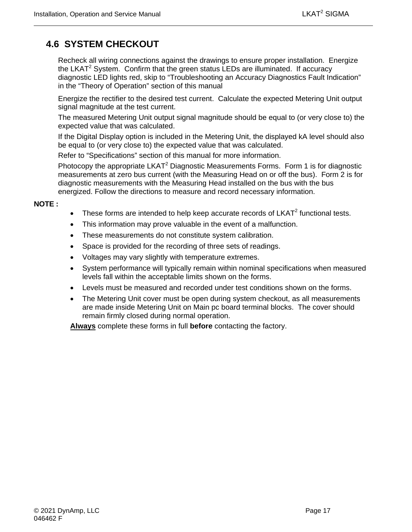## <span id="page-30-0"></span>**4.6 SYSTEM CHECKOUT**

Recheck all wiring connections against the drawings to ensure proper installation. Energize the LKAT<sup>2</sup> System. Confirm that the green status LEDs are illuminated. If accuracy diagnostic LED lights red, skip to "Troubleshooting an Accuracy Diagnostics Fault Indication" in the "Theory of Operation" section of this manual

Energize the rectifier to the desired test current. Calculate the expected Metering Unit output signal magnitude at the test current.

The measured Metering Unit output signal magnitude should be equal to (or very close to) the expected value that was calculated.

If the Digital Display option is included in the Metering Unit, the displayed kA level should also be equal to (or very close to) the expected value that was calculated.

Refer to "Specifications" section of this manual for more information.

Photocopy the appropriate  $LKAT^2$  Diagnostic Measurements Forms. Form 1 is for diagnostic measurements at zero bus current (with the Measuring Head on or off the bus). Form 2 is for diagnostic measurements with the Measuring Head installed on the bus with the bus energized. Follow the directions to measure and record necessary information.

#### **NOTE :**

- These forms are intended to help keep accurate records of  $LKAT<sup>2</sup>$  functional tests.
- This information may prove valuable in the event of a malfunction.
- These measurements do not constitute system calibration.
- Space is provided for the recording of three sets of readings.
- Voltages may vary slightly with temperature extremes.
- System performance will typically remain within nominal specifications when measured levels fall within the acceptable limits shown on the forms.
- Levels must be measured and recorded under test conditions shown on the forms.
- The Metering Unit cover must be open during system checkout, as all measurements are made inside Metering Unit on Main pc board terminal blocks. The cover should remain firmly closed during normal operation.

**Always** complete these forms in full **before** contacting the factory.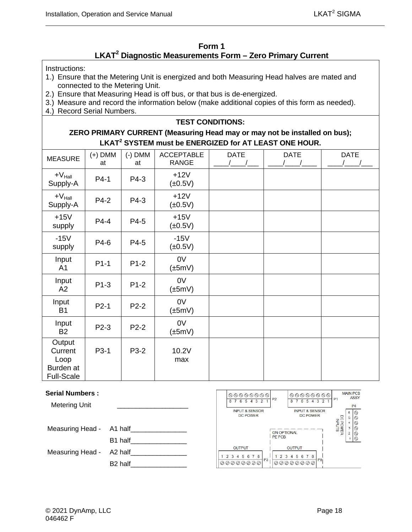### **Form 1 LKAT2 Diagnostic Measurements Form – Zero Primary Current**

<span id="page-31-0"></span>Instructions:

- 1.) Ensure that the Metering Unit is energized and both Measuring Head halves are mated and connected to the Metering Unit.
- 2.) Ensure that Measuring Head is off bus, or that bus is de-energized.
- 3.) Measure and record the information below (make additional copies of this form as needed).
- 4.) Record Serial Numbers.

#### **TEST CONDITIONS:**

#### **ZERO PRIMARY CURRENT (Measuring Head may or may not be installed on bus); LKAT<sup>2</sup> SYSTEM must be ENERGIZED for AT LEAST ONE HOUR.**

| <b>MEASURE</b>                                              | $(+)$ DMM<br>at | $(-)$ DMM<br>at | <b>ACCEPTABLE</b><br><b>RANGE</b> | <b>DATE</b> | <b>DATE</b> | <b>DATE</b> |
|-------------------------------------------------------------|-----------------|-----------------|-----------------------------------|-------------|-------------|-------------|
| $+V_{\text{Hall}}$<br>Supply-A                              | $P4-1$          | P4-3            | $+12V$<br>$(\pm 0.5V)$            |             |             |             |
| $+V_{\text{Hall}}$<br>Supply-A                              | P4-2            | P4-3            | $+12V$<br>$(\pm 0.5V)$            |             |             |             |
| $+15V$<br>supply                                            | P4-4            | P4-5            | $+15V$<br>$(\pm 0.5V)$            |             |             |             |
| $-15V$<br>supply                                            | P4-6            | P4-5            | $-15V$<br>$(\pm 0.5V)$            |             |             |             |
| Input<br>A <sub>1</sub>                                     | $P1-1$          | $P1-2$          | 0V<br>$(\pm 5mV)$                 |             |             |             |
| Input<br>A2                                                 | $P1-3$          | $P1-2$          | 0V<br>$(\pm 5mV)$                 |             |             |             |
| Input<br><b>B1</b>                                          | $P2-1$          | P2-2            | 0V<br>$(\pm 5mV)$                 |             |             |             |
| Input<br><b>B2</b>                                          | P2-3            | P2-2            | 0V<br>$(\pm 5mV)$                 |             |             |             |
| Output<br>Current<br>Loop<br>Burden at<br><b>Full-Scale</b> | P3-1            | P3-2            | 10.2V<br>max                      |             |             |             |

#### **Serial Numbers :**

Metering Unit Measuring Head - A1 half B1 half Measuring Head - A2 half B<sub>2</sub> half

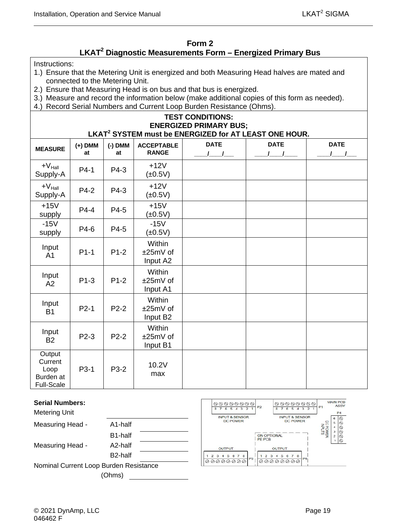#### **Form 2 LKAT2 Diagnostic Measurements Form – Energized Primary Bus**

<span id="page-32-0"></span>Instructions:

- 1.) Ensure that the Metering Unit is energized and both Measuring Head halves are mated and connected to the Metering Unit.
- 2.) Ensure that Measuring Head is on bus and that bus is energized.
- 3.) Measure and record the information below (make additional copies of this form as needed).
- 4.) Record Serial Numbers and Current Loop Burden Resistance (Ohms).

#### **TEST CONDITIONS: ENERGIZED PRIMARY BUS; LKAT<sup>2</sup> SYSTEM must be ENERGIZED for AT LEAST ONE HOUR.**

| <b>MEASURE</b>                                              | $(+)$ DMM<br>at | $(-)$ DMM<br>at | <b>ACCEPTABLE</b><br><b>RANGE</b>          | <b>DATE</b> | <b>DATE</b> | <b>DATE</b> |
|-------------------------------------------------------------|-----------------|-----------------|--------------------------------------------|-------------|-------------|-------------|
| $+V_{\text{Hall}}$<br>Supply-A                              | $P4-1$          | P4-3            | $+12V$<br>$(\pm 0.5V)$                     |             |             |             |
| $+V_{\text{Hall}}$<br>Supply-A                              | P4-2            | P4-3            | $+12V$<br>$(\pm 0.5V)$                     |             |             |             |
| $+15V$<br>supply                                            | $P4-4$          | P4-5            | $+15V$<br>$(\pm 0.5V)$                     |             |             |             |
| $-15V$<br>supply                                            | P4-6            | P4-5            | $-15V$<br>$(\pm 0.5V)$                     |             |             |             |
| Input<br>A <sub>1</sub>                                     | $P1-1$          | $P1-2$          | Within<br>$±25mV$ of<br>Input A2           |             |             |             |
| Input<br>A2                                                 | $P1-3$          | $P1-2$          | Within<br>±25mV of<br>Input A1             |             |             |             |
| Input<br><b>B1</b>                                          | $P2-1$          | $P2-2$          | Within<br>±25mV of<br>Input B <sub>2</sub> |             |             |             |
| Input<br><b>B2</b>                                          | $P2-3$          | $P2-2$          | Within<br>±25mV of<br>Input B1             |             |             |             |
| Output<br>Current<br>Loop<br>Burden at<br><b>Full-Scale</b> | P3-1            | P3-2            | 10.2V<br>max                               |             |             |             |

| <b>Serial Numbers:</b><br><b>Metering Unit</b> |                      | $\circledcirc \circledcirc \circledcirc \circledcirc$<br><b>INPUT &amp; SENSOR</b> | P <sub>2</sub>               | $\circledcirc \circledcirc \circledcirc \circledcirc$<br>432<br><b>INPUT &amp; SENSOR</b> | <b>MAIN PCB</b><br>P <sub>4</sub> | <b>ASSY</b> |
|------------------------------------------------|----------------------|------------------------------------------------------------------------------------|------------------------------|-------------------------------------------------------------------------------------------|-----------------------------------|-------------|
| Measuring Head -                               | A1-half              | <b>DC POWER</b>                                                                    |                              | <b>DC POWER</b>                                                                           |                                   | ☺           |
|                                                | B1-half              |                                                                                    | <b>ON OPTIONAL</b><br>PE PCB |                                                                                           |                                   |             |
| Measuring Head -                               | A2-half              | <b>OUTPUT</b>                                                                      |                              | <b>OUTPUT</b>                                                                             |                                   | ∾           |
|                                                | B <sub>2</sub> -half | 5 6 7 8<br>P3                                                                      |                              | P <sub>9</sub>                                                                            |                                   |             |
| Nominal Current Loop Burden Resistance         |                      | 00000000                                                                           |                              | 00000000                                                                                  |                                   |             |
|                                                | (Ohms)               |                                                                                    |                              |                                                                                           |                                   |             |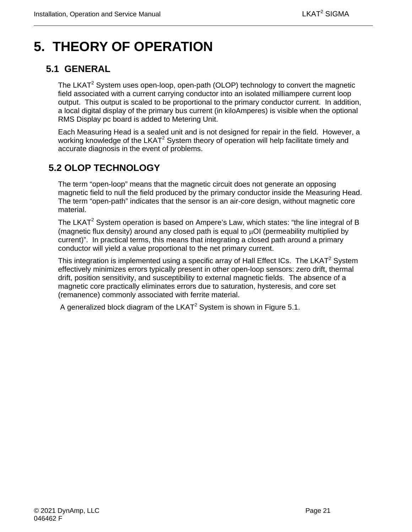# <span id="page-34-0"></span>**5. THEORY OF OPERATION**

## <span id="page-34-1"></span>**5.1 GENERAL**

The LKAT<sup>2</sup> System uses open-loop, open-path (OLOP) technology to convert the magnetic field associated with a current carrying conductor into an isolated milliampere current loop output. This output is scaled to be proportional to the primary conductor current. In addition, a local digital display of the primary bus current (in kiloAmperes) is visible when the optional RMS Display pc board is added to Metering Unit.

Each Measuring Head is a sealed unit and is not designed for repair in the field. However, a working knowledge of the LKAT<sup>2</sup> System theory of operation will help facilitate timely and accurate diagnosis in the event of problems.

## <span id="page-34-2"></span>**5.2 OLOP TECHNOLOGY**

The term "open-loop" means that the magnetic circuit does not generate an opposing magnetic field to null the field produced by the primary conductor inside the Measuring Head. The term "open-path" indicates that the sensor is an air-core design, without magnetic core material.

The LKAT<sup>2</sup> System operation is based on Ampere's Law, which states: "the line integral of B (magnetic flux density) around any closed path is equal to µOI (permeability multiplied by current)". In practical terms, this means that integrating a closed path around a primary conductor will yield a value proportional to the net primary current.

This integration is implemented using a specific array of Hall Effect ICs. The LKAT<sup>2</sup> System effectively minimizes errors typically present in other open-loop sensors: zero drift, thermal drift, position sensitivity, and susceptibility to external magnetic fields. The absence of a magnetic core practically eliminates errors due to saturation, hysteresis, and core set (remanence) commonly associated with ferrite material.

A generalized block diagram of the LKAT<sup>2</sup> System is shown in Figure 5.1.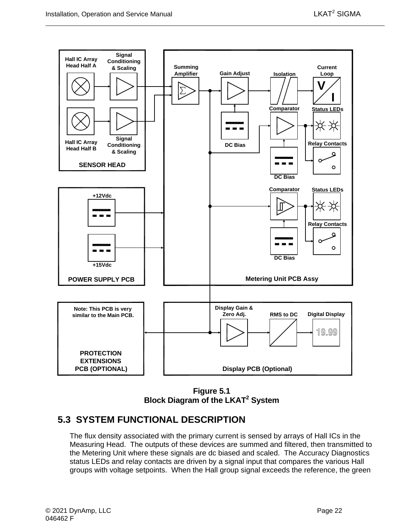

**Figure 5.1 Block Diagram of the LKAT2 System**

## <span id="page-35-1"></span><span id="page-35-0"></span>**5.3 SYSTEM FUNCTIONAL DESCRIPTION**

The flux density associated with the primary current is sensed by arrays of Hall ICs in the Measuring Head. The outputs of these devices are summed and filtered, then transmitted to the Metering Unit where these signals are dc biased and scaled. The Accuracy Diagnostics status LEDs and relay contacts are driven by a signal input that compares the various Hall groups with voltage setpoints. When the Hall group signal exceeds the reference, the green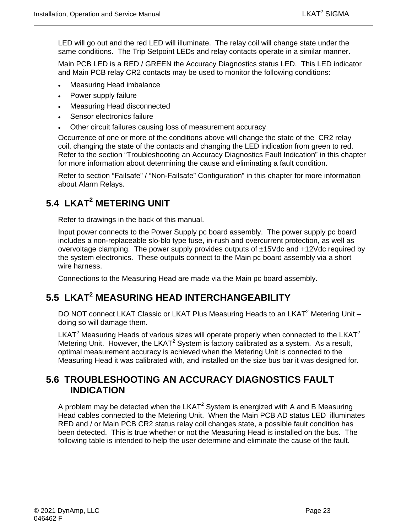LED will go out and the red LED will illuminate. The relay coil will change state under the same conditions. The Trip Setpoint LEDs and relay contacts operate in a similar manner.

Main PCB LED is a RED / GREEN the Accuracy Diagnostics status LED. This LED indicator and Main PCB relay CR2 contacts may be used to monitor the following conditions:

- Measuring Head imbalance
- Power supply failure
- Measuring Head disconnected
- Sensor electronics failure
- Other circuit failures causing loss of measurement accuracy

Occurrence of one or more of the conditions above will change the state of the CR2 relay coil, changing the state of the contacts and changing the LED indication from green to red. Refer to the section "Troubleshooting an Accuracy Diagnostics Fault Indication" in this chapter for more information about determining the cause and eliminating a fault condition.

Refer to section "Failsafe" / "Non-Failsafe" Configuration" in this chapter for more information about Alarm Relays.

## <span id="page-36-0"></span>**5.4 LKAT2 METERING UNIT**

Refer to drawings in the back of this manual.

Input power connects to the Power Supply pc board assembly. The power supply pc board includes a non-replaceable slo-blo type fuse, in-rush and overcurrent protection, as well as overvoltage clamping. The power supply provides outputs of ±15Vdc and +12Vdc required by the system electronics. These outputs connect to the Main pc board assembly via a short wire harness.

Connections to the Measuring Head are made via the Main pc board assembly.

## <span id="page-36-1"></span>**5.5 LKAT2 MEASURING HEAD INTERCHANGEABILITY**

DO NOT connect LKAT Classic or LKAT Plus Measuring Heads to an LKAT<sup>2</sup> Metering Unit doing so will damage them.

LKAT<sup>2</sup> Measuring Heads of various sizes will operate properly when connected to the LKAT<sup>2</sup> Metering Unit. However, the LKAT<sup>2</sup> System is factory calibrated as a system. As a result, optimal measurement accuracy is achieved when the Metering Unit is connected to the Measuring Head it was calibrated with, and installed on the size bus bar it was designed for.

## <span id="page-36-2"></span>**5.6 TROUBLESHOOTING AN ACCURACY DIAGNOSTICS FAULT INDICATION**

A problem may be detected when the  $LKAT<sup>2</sup>$  System is energized with A and B Measuring Head cables connected to the Metering Unit. When the Main PCB AD status LED illuminates RED and / or Main PCB CR2 status relay coil changes state, a possible fault condition has been detected. This is true whether or not the Measuring Head is installed on the bus. The following table is intended to help the user determine and eliminate the cause of the fault.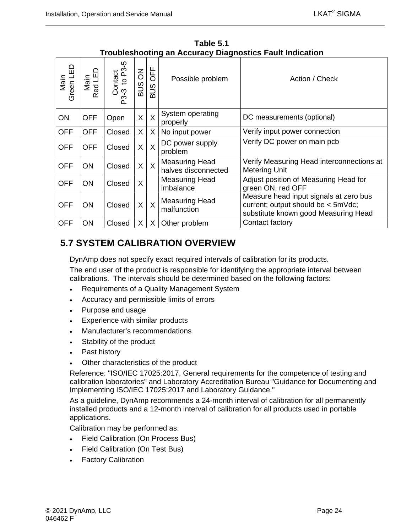<span id="page-37-1"></span>

| Main<br>Green LED | Main<br>Red LED | Contact<br>-3 to P3-5<br>$P3-3$ | $\overline{6}$<br><b>SUB</b> | OFF<br><b>SUS</b>       | Possible problem                             | Action / Check                                                                                                       |
|-------------------|-----------------|---------------------------------|------------------------------|-------------------------|----------------------------------------------|----------------------------------------------------------------------------------------------------------------------|
| <b>ON</b>         | <b>OFF</b>      | Open                            | X                            | $\sf X$                 | System operating<br>properly                 | DC measurements (optional)                                                                                           |
| <b>OFF</b>        | <b>OFF</b>      | Closed                          | X                            | X                       | No input power                               | Verify input power connection                                                                                        |
| <b>OFF</b>        | <b>OFF</b>      | Closed                          | X                            | $\overline{\mathsf{X}}$ | DC power supply<br>problem                   | Verify DC power on main pcb                                                                                          |
| <b>OFF</b>        | <b>ON</b>       | Closed                          | X                            | $\overline{X}$          | <b>Measuring Head</b><br>halves disconnected | Verify Measuring Head interconnections at<br><b>Metering Unit</b>                                                    |
| <b>OFF</b>        | <b>ON</b>       | Closed                          | X                            |                         | <b>Measuring Head</b><br>imbalance           | Adjust position of Measuring Head for<br>green ON, red OFF                                                           |
| <b>OFF</b>        | <b>ON</b>       | Closed                          | $\mathsf{X}$                 | $\overline{X}$          | <b>Measuring Head</b><br>malfunction         | Measure head input signals at zero bus<br>current; output should be < 5mVdc;<br>substitute known good Measuring Head |
| <b>OFF</b>        | ON              | Closed                          | X.                           | X                       | Other problem                                | Contact factory                                                                                                      |

**Table 5.1 Troubleshooting an Accuracy Diagnostics Fault Indication** 

## <span id="page-37-0"></span>**5.7 SYSTEM CALIBRATION OVERVIEW**

DynAmp does not specify exact required intervals of calibration for its products.

The end user of the product is responsible for identifying the appropriate interval between calibrations. The intervals should be determined based on the following factors:

- Requirements of a Quality Management System
- Accuracy and permissible limits of errors
- Purpose and usage
- Experience with similar products
- Manufacturer's recommendations
- Stability of the product
- Past history
- Other characteristics of the product

Reference: "ISO/IEC 17025:2017, General requirements for the competence of testing and calibration laboratories" and Laboratory Accreditation Bureau "Guidance for Documenting and Implementing ISO/IEC 17025:2017 and Laboratory Guidance."

As a guideline, DynAmp recommends a 24-month interval of calibration for all permanently installed products and a 12-month interval of calibration for all products used in portable applications.

Calibration may be performed as:

- Field Calibration (On Process Bus)
- Field Calibration (On Test Bus)
- Factory Calibration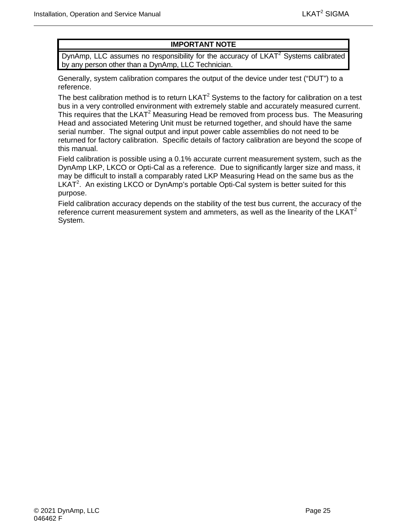### **IMPORTANT NOTE**

DynAmp, LLC assumes no responsibility for the accuracy of  $LKAT<sup>2</sup>$  Systems calibrated by any person other than a DynAmp, LLC Technician.

Generally, system calibration compares the output of the device under test ("DUT") to a reference.

The best calibration method is to return  $LKAT<sup>2</sup>$  Systems to the factory for calibration on a test bus in a very controlled environment with extremely stable and accurately measured current. This requires that the LKAT<sup>2</sup> Measuring Head be removed from process bus. The Measuring Head and associated Metering Unit must be returned together, and should have the same serial number. The signal output and input power cable assemblies do not need to be returned for factory calibration. Specific details of factory calibration are beyond the scope of this manual.

Field calibration is possible using a 0.1% accurate current measurement system, such as the DynAmp LKP, LKCO or Opti-Cal as a reference. Due to significantly larger size and mass, it may be difficult to install a comparably rated LKP Measuring Head on the same bus as the LKAT<sup>2</sup>. An existing LKCO or DynAmp's portable Opti-Cal system is better suited for this purpose.

Field calibration accuracy depends on the stability of the test bus current, the accuracy of the reference current measurement system and ammeters, as well as the linearity of the  $LKAT<sup>2</sup>$ System.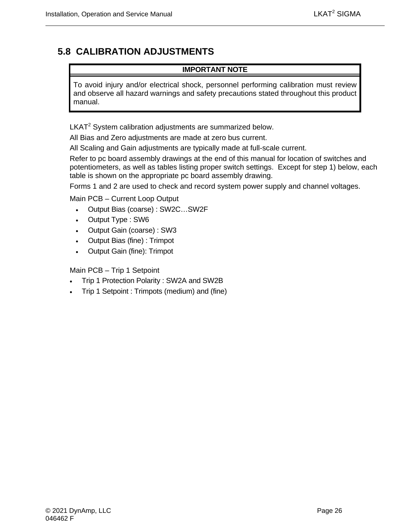## <span id="page-39-0"></span>**5.8 CALIBRATION ADJUSTMENTS**

#### **IMPORTANT NOTE**

To avoid injury and/or electrical shock, personnel performing calibration must review and observe all hazard warnings and safety precautions stated throughout this product manual.

 $LKAT<sup>2</sup>$  System calibration adjustments are summarized below.

All Bias and Zero adjustments are made at zero bus current.

All Scaling and Gain adjustments are typically made at full-scale current.

Refer to pc board assembly drawings at the end of this manual for location of switches and potentiometers, as well as tables listing proper switch settings. Except for step 1) below, each table is shown on the appropriate pc board assembly drawing.

Forms 1 and 2 are used to check and record system power supply and channel voltages.

Main PCB – Current Loop Output

- Output Bias (coarse) : SW2C…SW2F
- Output Type : SW6
- Output Gain (coarse) : SW3
- Output Bias (fine) : Trimpot
- Output Gain (fine): Trimpot

Main PCB – Trip 1 Setpoint

- Trip 1 Protection Polarity : SW2A and SW2B
- Trip 1 Setpoint : Trimpots (medium) and (fine)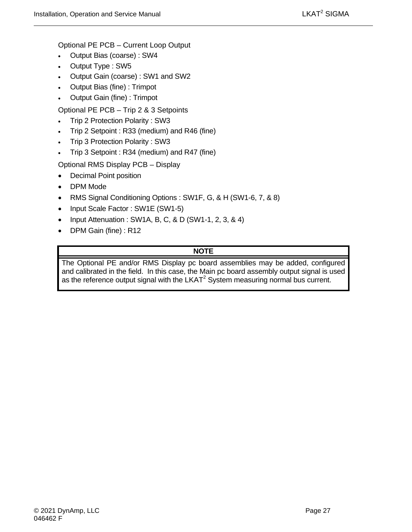Optional PE PCB – Current Loop Output

- Output Bias (coarse) : SW4
- Output Type : SW5
- Output Gain (coarse) : SW1 and SW2
- Output Bias (fine) : Trimpot
- Output Gain (fine) : Trimpot

Optional PE PCB – Trip 2 & 3 Setpoints

- Trip 2 Protection Polarity : SW3
- Trip 2 Setpoint : R33 (medium) and R46 (fine)
- Trip 3 Protection Polarity : SW3
- Trip 3 Setpoint : R34 (medium) and R47 (fine)

Optional RMS Display PCB – Display

- Decimal Point position
- DPM Mode
- RMS Signal Conditioning Options : SW1F, G, & H (SW1-6, 7, & 8)
- Input Scale Factor: SW1E (SW1-5)
- Input Attenuation : SW1A, B, C, & D (SW1-1, 2, 3, & 4)
- DPM Gain (fine) : R12

### **NOTE**

The Optional PE and/or RMS Display pc board assemblies may be added, configured and calibrated in the field. In this case, the Main pc board assembly output signal is used as the reference output signal with the LKAT<sup>2</sup> System measuring normal bus current.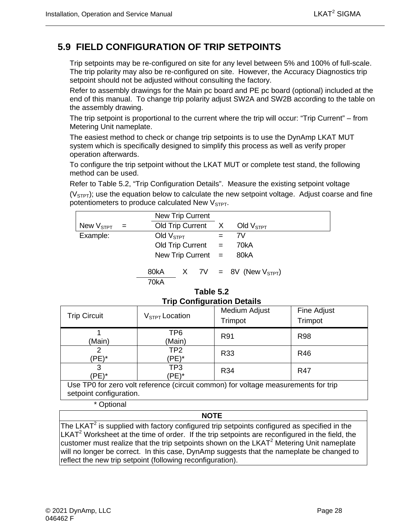## <span id="page-41-0"></span>**5.9 FIELD CONFIGURATION OF TRIP SETPOINTS**

Trip setpoints may be re-configured on site for any level between 5% and 100% of full-scale. The trip polarity may also be re-configured on site. However, the Accuracy Diagnostics trip setpoint should not be adjusted without consulting the factory.

Refer to assembly drawings for the Main pc board and PE pc board (optional) included at the end of this manual. To change trip polarity adjust SW2A and SW2B according to the table on the assembly drawing.

The trip setpoint is proportional to the current where the trip will occur: "Trip Current" – from Metering Unit nameplate.

The easiest method to check or change trip setpoints is to use the DynAmp LKAT MUT system which is specifically designed to simplify this process as well as verify proper operation afterwards.

To configure the trip setpoint without the LKAT MUT or complete test stand, the following method can be used.

Refer to Table 5.2, "Trip Configuration Details". Measure the existing setpoint voltage

 $(V<sub>STPT</sub>)$ ; use the equation below to calculate the new setpoint voltage. Adjust coarse and fine potentiometers to produce calculated New V<sub>STPT</sub>.

|                    |     | New Trip Current     |  |                                     |
|--------------------|-----|----------------------|--|-------------------------------------|
| New $V_{\tt STPT}$ | $=$ |                      |  | Old Trip Current $X$ Old $V_{STPT}$ |
| Example:           |     | Old $VSTPT$          |  | 7V                                  |
|                    |     | Old Trip Current $=$ |  | 70kA                                |
|                    |     | New Trip Current $=$ |  | 80kA                                |
|                    |     | 80kA<br>70kA         |  | $X$ 7V = 8V (New $V_{STPT}$ )       |

#### **Table 5.2 Trip Configuration Details**

<span id="page-41-1"></span>

| <b>Trip Circuit</b> | $VSTPT$ Location | Medium Adjust<br>Trimpot | Fine Adjust<br>Trimpot |
|---------------------|------------------|--------------------------|------------------------|
| (Main)              | TP6<br>(Main)    | R91                      | <b>R98</b>             |
| 'PE)*               | TP2<br>(PE)*     | <b>R33</b>               | R46                    |
| 3<br>'PE)*          | TP3<br>$PE)^*$   | R34                      | <b>R47</b>             |

Use TP0 for zero volt reference (circuit common) for voltage measurements for trip setpoint configuration.

\* Optional

#### **NOTE**

The LKAT<sup>2</sup> is supplied with factory configured trip setpoints configured as specified in the  $LKAT<sup>2</sup>$  Worksheet at the time of order. If the trip setpoints are reconfigured in the field, the customer must realize that the trip setpoints shown on the LKAT $<sup>2</sup>$  Metering Unit nameplate</sup> will no longer be correct. In this case, DynAmp suggests that the nameplate be changed to reflect the new trip setpoint (following reconfiguration).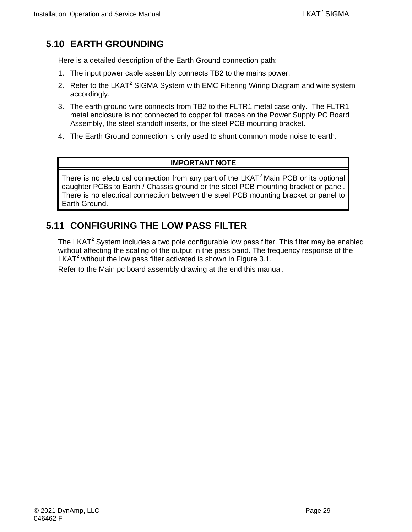## <span id="page-42-0"></span>**5.10 EARTH GROUNDING**

Here is a detailed description of the Earth Ground connection path:

- 1. The input power cable assembly connects TB2 to the mains power.
- 2. Refer to the LKAT<sup>2</sup> SIGMA System with EMC Filtering Wiring Diagram and wire system accordingly.
- 3. The earth ground wire connects from TB2 to the FLTR1 metal case only. The FLTR1 metal enclosure is not connected to copper foil traces on the Power Supply PC Board Assembly, the steel standoff inserts, or the steel PCB mounting bracket.
- 4. The Earth Ground connection is only used to shunt common mode noise to earth.

#### **IMPORTANT NOTE**

There is no electrical connection from any part of the  $LKAT<sup>2</sup>$  Main PCB or its optional daughter PCBs to Earth / Chassis ground or the steel PCB mounting bracket or panel. There is no electrical connection between the steel PCB mounting bracket or panel to Earth Ground.

## <span id="page-42-1"></span>**5.11 CONFIGURING THE LOW PASS FILTER**

The LKAT<sup>2</sup> System includes a two pole configurable low pass filter. This filter may be enabled without affecting the scaling of the output in the pass band. The frequency response of the LKAT<sup>2</sup> without the low pass filter activated is shown in Figure 3.1.

Refer to the Main pc board assembly drawing at the end this manual.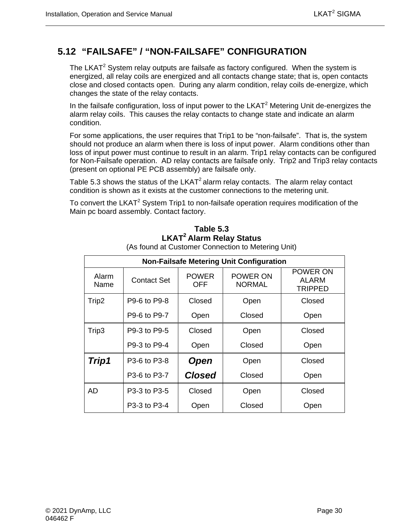## <span id="page-43-0"></span>**5.12 "FAILSAFE" / "NON-FAILSAFE" CONFIGURATION**

The LKAT $^2$  System relay outputs are failsafe as factory configured. When the system is energized, all relay coils are energized and all contacts change state; that is, open contacts close and closed contacts open. During any alarm condition, relay coils de-energize, which changes the state of the relay contacts.

In the failsafe configuration, loss of input power to the LKAT<sup>2</sup> Metering Unit de-energizes the alarm relay coils. This causes the relay contacts to change state and indicate an alarm condition.

For some applications, the user requires that Trip1 to be "non-failsafe". That is, the system should not produce an alarm when there is loss of input power. Alarm conditions other than loss of input power must continue to result in an alarm. Trip1 relay contacts can be configured for Non-Failsafe operation. AD relay contacts are failsafe only. Trip2 and Trip3 relay contacts (present on optional PE PCB assembly) are failsafe only.

Table 5.3 shows the status of the  $LKAT^2$  alarm relay contacts. The alarm relay contact condition is shown as it exists at the customer connections to the metering unit.

<span id="page-43-1"></span>To convert the LKAT<sup>2</sup> System Trip1 to non-failsafe operation requires modification of the Main pc board assembly. Contact factory.

| <b>Non-Failsafe Metering Unit Configuration</b> |                    |                     |                                  |                              |  |  |  |
|-------------------------------------------------|--------------------|---------------------|----------------------------------|------------------------------|--|--|--|
| Alarm<br>Name                                   | <b>Contact Set</b> | <b>POWER</b><br>OFF | <b>POWER ON</b><br><b>NORMAL</b> | POWER ON<br>ALARM<br>TRIPPED |  |  |  |
| Trip2                                           | P9-6 to P9-8       | Closed              | Open                             |                              |  |  |  |
|                                                 | P9-6 to P9-7       | Open                | Closed                           | Open                         |  |  |  |
| Trip3                                           | P9-3 to P9-5       | Closed              | Open                             | Closed                       |  |  |  |
|                                                 | P9-3 to P9-4       | Open                | Closed                           | Open                         |  |  |  |
| Trip1                                           | P3-6 to P3-8       | <b>Open</b>         | Open                             | Closed                       |  |  |  |
|                                                 | P3-6 to P3-7       | <b>Closed</b>       | Closed                           | Open                         |  |  |  |
| AD                                              | P3-3 to P3-5       | Closed              | Open                             | Closed                       |  |  |  |
|                                                 | P3-3 to P3-4       | Open                | Closed                           | Open                         |  |  |  |

### **Table 5.3 LKAT2 Alarm Relay Status**

(As found at Customer Connection to Metering Unit)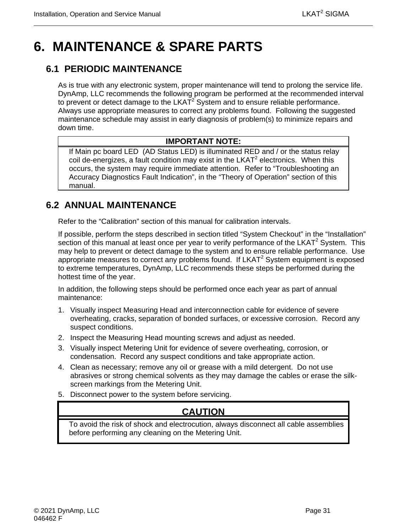# <span id="page-44-0"></span>**6. MAINTENANCE & SPARE PARTS**

## <span id="page-44-1"></span>**6.1 PERIODIC MAINTENANCE**

As is true with any electronic system, proper maintenance will tend to prolong the service life. DynAmp, LLC recommends the following program be performed at the recommended interval to prevent or detect damage to the  $LKA\bar{T}^2$  System and to ensure reliable performance. Always use appropriate measures to correct any problems found. Following the suggested maintenance schedule may assist in early diagnosis of problem(s) to minimize repairs and down time.

#### **IMPORTANT NOTE:**

If Main pc board LED (AD Status LED) is illuminated RED and / or the status relay  $\cot$  de-energizes, a fault condition may exist in the LKAT<sup>2</sup> electronics. When this occurs, the system may require immediate attention. Refer to "Troubleshooting an Accuracy Diagnostics Fault Indication", in the "Theory of Operation" section of this manual.

## <span id="page-44-2"></span>**6.2 ANNUAL MAINTENANCE**

Refer to the "Calibration" section of this manual for calibration intervals.

If possible, perform the steps described in section titled "System Checkout" in the "Installation" section of this manual at least once per year to verify performance of the  $LKAT^2$  System. This may help to prevent or detect damage to the system and to ensure reliable performance. Use appropriate measures to correct any problems found. If  $LKAT^2$  System equipment is exposed to extreme temperatures, DynAmp, LLC recommends these steps be performed during the hottest time of the year.

In addition, the following steps should be performed once each year as part of annual maintenance:

- 1. Visually inspect Measuring Head and interconnection cable for evidence of severe overheating, cracks, separation of bonded surfaces, or excessive corrosion. Record any suspect conditions.
- 2. Inspect the Measuring Head mounting screws and adjust as needed.
- 3. Visually inspect Metering Unit for evidence of severe overheating, corrosion, or condensation. Record any suspect conditions and take appropriate action.
- 4. Clean as necessary; remove any oil or grease with a mild detergent. Do not use abrasives or strong chemical solvents as they may damage the cables or erase the silkscreen markings from the Metering Unit.
- 5. Disconnect power to the system before servicing.

## **CAUTION**

To avoid the risk of shock and electrocution, always disconnect all cable assemblies before performing any cleaning on the Metering Unit.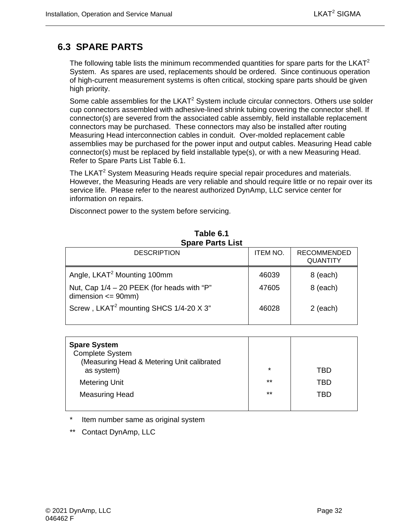## <span id="page-45-0"></span>**6.3 SPARE PARTS**

The following table lists the minimum recommended quantities for spare parts for the  $LKAT^2$ System. As spares are used, replacements should be ordered. Since continuous operation of high-current measurement systems is often critical, stocking spare parts should be given high priority.

Some cable assemblies for the LKAT<sup>2</sup> System include circular connectors. Others use solder cup connectors assembled with adhesive-lined shrink tubing covering the connector shell. If connector(s) are severed from the associated cable assembly, field installable replacement connectors may be purchased. These connectors may also be installed after routing Measuring Head interconnection cables in conduit. Over-molded replacement cable assemblies may be purchased for the power input and output cables. Measuring Head cable connector(s) must be replaced by field installable type(s), or with a new Measuring Head. Refer to Spare Parts List Table 6.1.

The LKAT<sup>2</sup> System Measuring Heads require special repair procedures and materials. However, the Measuring Heads are very reliable and should require little or no repair over its service life. Please refer to the nearest authorized DynAmp, LLC service center for information on repairs.

Disconnect power to the system before servicing.

<span id="page-45-1"></span>

| ODUI V I UI LJ LIJL                                                    |                 |                                       |  |  |  |  |
|------------------------------------------------------------------------|-----------------|---------------------------------------|--|--|--|--|
| <b>DESCRIPTION</b>                                                     | <b>ITEM NO.</b> | <b>RECOMMENDED</b><br><b>QUANTITY</b> |  |  |  |  |
| Angle, LKAT <sup>2</sup> Mounting 100mm                                | 46039           | 8 (each)                              |  |  |  |  |
| Nut, Cap $1/4 - 20$ PEEK (for heads with "P"<br>dimension $\leq$ 90mm) | 47605           | 8 (each)                              |  |  |  |  |
| Screw, LKAT <sup>2</sup> mounting SHCS 1/4-20 X 3"                     | 46028           | $2$ (each)                            |  |  |  |  |

#### **Table 6.1 Spare Parts List**

| <b>Spare System</b><br><b>Complete System</b><br>(Measuring Head & Metering Unit calibrated<br>as system) | $\star$ | TBD |
|-----------------------------------------------------------------------------------------------------------|---------|-----|
| <b>Metering Unit</b>                                                                                      | $***$   | TBD |
| <b>Measuring Head</b>                                                                                     | $***$   | TBD |
|                                                                                                           |         |     |

Item number same as original system

\*\* Contact DynAmp, LLC